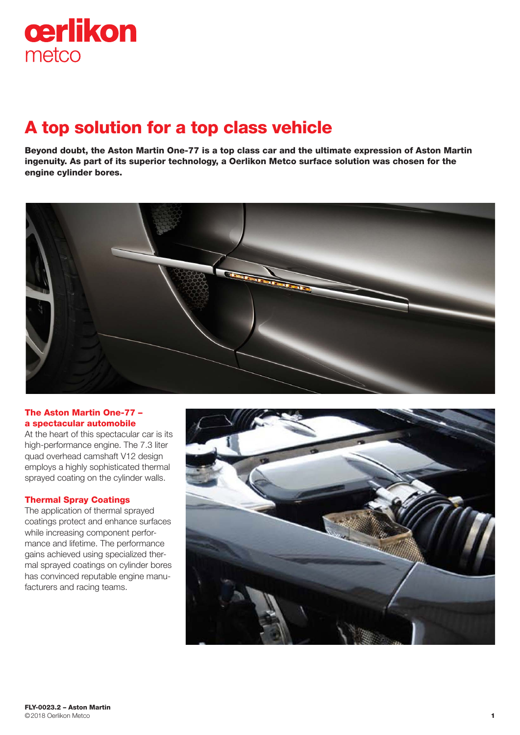

# A top solution for a top class vehicle

Beyond doubt, the Aston Martin One-77 is a top class car and the ultimate expression of Aston Martin ingenuity. As part of its superior technology, a Oerlikon Metco surface solution was chosen for the engine cylinder bores.



## The Aston Martin One-77 – a spectacular automobile

At the heart of this spectacular car is its high-performance engine. The 7.3 liter quad overhead camshaft V12 design employs a highly sophisticated thermal sprayed coating on the cylinder walls.

### Thermal Spray Coatings

The application of thermal sprayed coatings protect and enhance surfaces while increasing component performance and lifetime. The performance gains achieved using specialized thermal sprayed coatings on cylinder bores has convinced reputable engine manufacturers and racing teams.